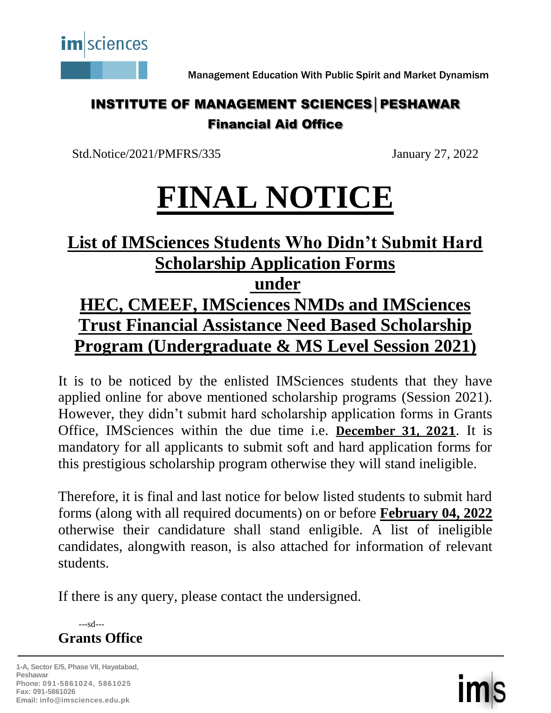

Management Education With Public Spirit and Market Dynamism

## INSTITUTE OF MANAGEMENT SCIENCES│PESHAWAR Financial Aid Office

Std.Notice/2021/PMFRS/335 January 27, 2022

# **FINAL NOTICE**

# **List of IMSciences Students Who Didn't Submit Hard Scholarship Application Forms under**

# **HEC, CMEEF, IMSciences NMDs and IMSciences Trust Financial Assistance Need Based Scholarship Program (Undergraduate & MS Level Session 2021)**

It is to be noticed by the enlisted IMSciences students that they have applied online for above mentioned scholarship programs (Session 2021). However, they didn't submit hard scholarship application forms in Grants Office, IMSciences within the due time i.e. **December 31, 2021**. It is mandatory for all applicants to submit soft and hard application forms for this prestigious scholarship program otherwise they will stand ineligible.

Therefore, it is final and last notice for below listed students to submit hard forms (along with all required documents) on or before **February 04, 2022** otherwise their candidature shall stand enligible. A list of ineligible candidates, alongwith reason, is also attached for information of relevant students.

If there is any query, please contact the undersigned.

 ---sd--- **Grants Office**

**1-A, Sector E/5, Phase VII, Hayatabad, Peshawar Phone: 091-5861024, 5861025 Fax: 091-5861026 Email: info@imsciences.edu.pk**

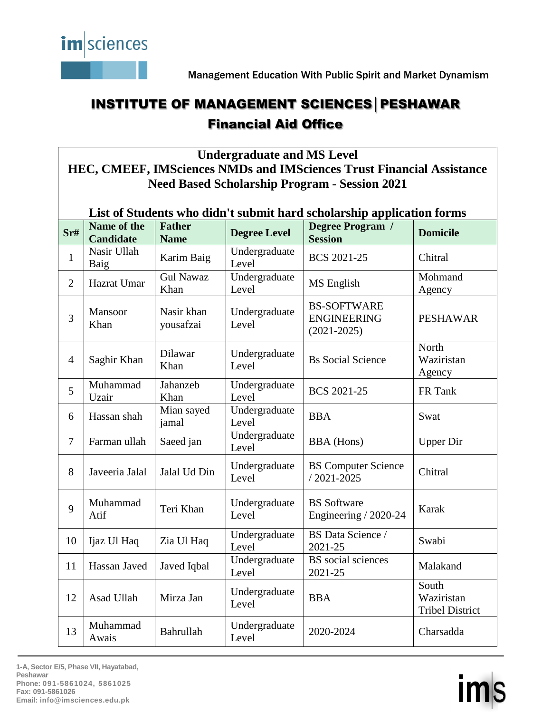

Management Education With Public Spirit and Market Dynamism

## INSTITUTE OF MANAGEMENT SCIENCES│PESHAWAR Financial Aid Office

**Undergraduate and MS Level** 

**HEC, CMEEF, IMSciences NMDs and IMSciences Trust Financial Assistance Need Based Scholarship Program - Session 2021**

| List of Students who didn't submit hard scholarship application forms |                                 |                              |                        |                                                             |                                               |  |
|-----------------------------------------------------------------------|---------------------------------|------------------------------|------------------------|-------------------------------------------------------------|-----------------------------------------------|--|
| Sr#                                                                   | Name of the<br><b>Candidate</b> | <b>Father</b><br><b>Name</b> | <b>Degree Level</b>    | Degree Program /<br><b>Session</b>                          | <b>Domicile</b>                               |  |
| $\mathbf{1}$                                                          | Nasir Ullah<br>Baig             | Karim Baig                   | Undergraduate<br>Level | <b>BCS 2021-25</b>                                          | Chitral                                       |  |
| $\overline{2}$                                                        | Hazrat Umar                     | <b>Gul Nawaz</b><br>Khan     | Undergraduate<br>Level | MS English                                                  | Mohmand<br>Agency                             |  |
| $\overline{3}$                                                        | Mansoor<br>Khan                 | Nasir khan<br>yousafzai      | Undergraduate<br>Level | <b>BS-SOFTWARE</b><br><b>ENGINEERING</b><br>$(2021 - 2025)$ | <b>PESHAWAR</b>                               |  |
| $\overline{4}$                                                        | Saghir Khan                     | Dilawar<br>Khan              | Undergraduate<br>Level | <b>Bs</b> Social Science                                    | North<br>Waziristan<br>Agency                 |  |
| 5                                                                     | Muhammad<br>Uzair               | Jahanzeb<br>Khan             | Undergraduate<br>Level | <b>BCS 2021-25</b>                                          | FR Tank                                       |  |
| 6                                                                     | Hassan shah                     | Mian sayed<br>jamal          | Undergraduate<br>Level | <b>BBA</b>                                                  | Swat                                          |  |
| $\tau$                                                                | Farman ullah                    | Saeed jan                    | Undergraduate<br>Level | <b>BBA</b> (Hons)                                           | <b>Upper Dir</b>                              |  |
| 8                                                                     | Javeeria Jalal                  | Jalal Ud Din                 | Undergraduate<br>Level | <b>BS</b> Computer Science<br>$/2021 - 2025$                | Chitral                                       |  |
| 9                                                                     | Muhammad<br>Atif                | Teri Khan                    | Undergraduate<br>Level | <b>BS</b> Software<br>Engineering / 2020-24                 | Karak                                         |  |
| 10                                                                    | Ijaz Ul Haq                     | Zia Ul Haq                   | Undergraduate<br>Level | <b>BS</b> Data Science /<br>2021-25                         | Swabi                                         |  |
| 11                                                                    | Hassan Javed                    | Javed Iqbal                  | Undergraduate<br>Level | BS social sciences<br>2021-25                               | Malakand                                      |  |
| 12                                                                    | Asad Ullah                      | Mirza Jan                    | Undergraduate<br>Level | <b>BBA</b>                                                  | South<br>Waziristan<br><b>Tribel District</b> |  |
| 13                                                                    | Muhammad<br>Awais               | Bahrullah                    | Undergraduate<br>Level | 2020-2024                                                   | Charsadda                                     |  |

**1-A, Sector E/5, Phase VII, Hayatabad, Peshawar Phone: 091-5861024, 5861025 Fax: 091-5861026 Email: info@imsciences.edu.pk**